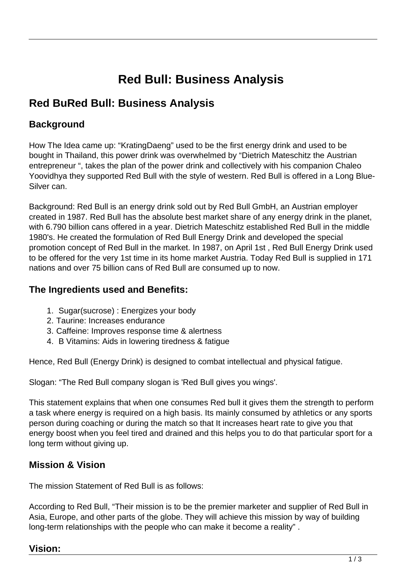# **Red Bull: Business Analysis**

## **Red BuRed Bull: Business Analysis**

## **Background**

How The Idea came up: "KratingDaeng" used to be the first energy drink and used to be bought in Thailand, this power drink was overwhelmed by "Dietrich Mateschitz the Austrian entrepreneur ", takes the plan of the power drink and collectively with his companion Chaleo Yoovidhya they supported Red Bull with the style of western. Red Bull is offered in a Long Blue-Silver can.

Background: Red Bull is an energy drink sold out by Red Bull GmbH, an Austrian employer created in 1987. Red Bull has the absolute best market share of any energy drink in the planet, with 6.790 billion cans offered in a year. Dietrich Mateschitz established Red Bull in the middle 1980's. He created the formulation of Red Bull Energy Drink and developed the special promotion concept of Red Bull in the market. In 1987, on April 1st , Red Bull Energy Drink used to be offered for the very 1st time in its home market Austria. Today Red Bull is supplied in 171 nations and over 75 billion cans of Red Bull are consumed up to now.

### **The Ingredients used and Benefits:**

- 1. Sugar(sucrose) : Energizes your body
- 2. Taurine: Increases endurance
- 3. Caffeine: Improves response time & alertness
- 4. B Vitamins: Aids in lowering tiredness & fatigue

Hence, Red Bull (Energy Drink) is designed to combat intellectual and physical fatigue.

Slogan: "The Red Bull company slogan is 'Red Bull gives you wings'.

This statement explains that when one consumes Red bull it gives them the strength to perform a task where energy is required on a high basis. Its mainly consumed by athletics or any sports person during coaching or during the match so that It increases heart rate to give you that energy boost when you feel tired and drained and this helps you to do that particular sport for a long term without giving up.

## **Mission & Vision**

The mission Statement of Red Bull is as follows:

According to Red Bull, "Their mission is to be the premier marketer and supplier of Red Bull in Asia, Europe, and other parts of the globe. They will achieve this mission by way of building long-term relationships with the people who can make it become a reality" .

## **Vision:**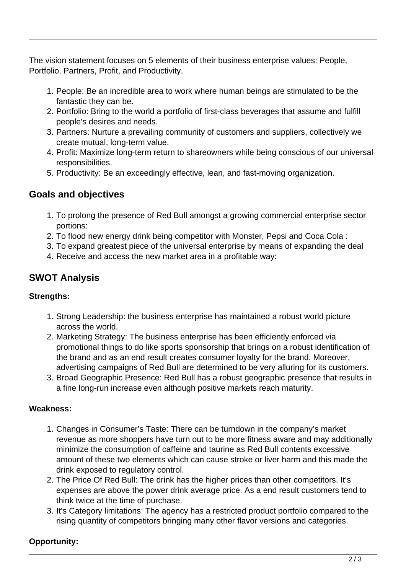The vision statement focuses on 5 elements of their business enterprise values: People, Portfolio, Partners, Profit, and Productivity.

- 1. People: Be an incredible area to work where human beings are stimulated to be the fantastic they can be.
- 2. Portfolio: Bring to the world a portfolio of first-class beverages that assume and fulfill people's desires and needs.
- 3. Partners: Nurture a prevailing community of customers and suppliers, collectively we create mutual, long-term value.
- 4. Profit: Maximize long-term return to shareowners while being conscious of our universal responsibilities.
- 5. Productivity: Be an exceedingly effective, lean, and fast-moving organization.

#### **Goals and objectives**

- 1. To prolong the presence of Red Bull amongst a growing commercial enterprise sector portions:
- 2. To flood new energy drink being competitor with Monster, Pepsi and Coca Cola :
- 3. To expand greatest piece of the universal enterprise by means of expanding the deal
- 4. Receive and access the new market area in a profitable way:

## **SWOT Analysis**

#### **Strengths:**

- 1. Strong Leadership: the business enterprise has maintained a robust world picture across the world.
- 2. Marketing Strategy: The business enterprise has been efficiently enforced via promotional things to do like sports sponsorship that brings on a robust identification of the brand and as an end result creates consumer loyalty for the brand. Moreover, advertising campaigns of Red Bull are determined to be very alluring for its customers.
- 3. Broad Geographic Presence: Red Bull has a robust geographic presence that results in a fine long-run increase even although positive markets reach maturity.

#### **Weakness:**

- 1. Changes in Consumer's Taste: There can be turndown in the company's market revenue as more shoppers have turn out to be more fitness aware and may additionally minimize the consumption of caffeine and taurine as Red Bull contents excessive amount of these two elements which can cause stroke or liver harm and this made the drink exposed to regulatory control.
- 2. The Price Of Red Bull: The drink has the higher prices than other competitors. It's expenses are above the power drink average price. As a end result customers tend to think twice at the time of purchase.
- 3. It's Category limitations: The agency has a restricted product portfolio compared to the rising quantity of competitors bringing many other flavor versions and categories.

#### **Opportunity:**